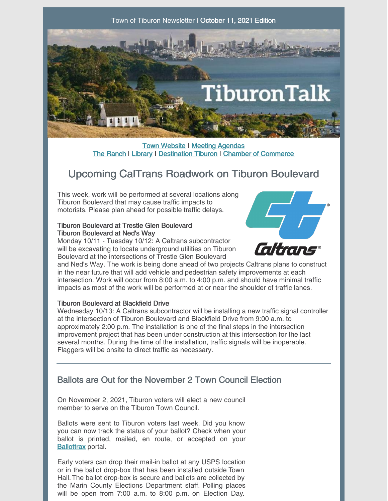

**Town [Website](http://www.townoftiburon.org) | Meeting [Agendas](http://www.townoftiburon.org/266/Agendas-Minutes)** The [Ranch](http://www.theranchtoday.org) | [Library](https://www.beltiblibrary.org/) | [Destination](https://www.destinationtiburon.org/) Tiburon | Chamber of [Commerce](https://www.tiburonchamber.org/)

# Upcoming CalTrans Roadwork on Tiburon Boulevard

This week, work will be performed at several locations along Tiburon Boulevard that may cause traffic impacts to motorists. Please plan ahead for possible traffic delays.

#### Tiburon Boulevard at Trestle Glen Boulevard Tiburon Boulevard at Ned's Way

Monday 10/11 - Tuesday 10/12: A Caltrans subcontractor will be excavating to locate underground utilities on Tiburon Boulevard at the intersections of Trestle Glen Boulevard



and Ned's Way. The work is being done ahead of two projects Caltrans plans to construct in the near future that will add vehicle and pedestrian safety improvements at each intersection. Work will occur from 8:00 a.m. to 4:00 p.m. and should have minimal traffic impacts as most of the work will be performed at or near the shoulder of traffic lanes.

### Tiburon Boulevard at Blackfield Drive

Wednesday 10/13: A Caltrans subcontractor will be installing a new traffic signal controller at the intersection of Tiburon Boulevard and Blackfield Drive from 9:00 a.m. to approximately 2:00 p.m. The installation is one of the final steps in the intersection improvement project that has been under construction at this intersection for the last several months. During the time of the installation, traffic signals will be inoperable. Flaggers will be onsite to direct traffic as necessary.

### Ballots are Out for the November 2 Town Council Election

On November 2, 2021, Tiburon voters will elect a new council member to serve on the Tiburon Town Council.

Ballots were sent to Tiburon voters last week. Did you know you can now track the status of your ballot? Check when your ballot is printed, mailed, en route, or accepted on your [Ballottrax](https://california.ballottrax.net/voter/) portal.

Early voters can drop their mail-in ballot at any USPS location or in the ballot drop-box that has been installed outside Town Hall.The ballot drop-box is secure and ballots are collected by the Marin County Elections Department staff. Polling places will be open from 7:00 a.m. to 8:00 p.m. on Election Day.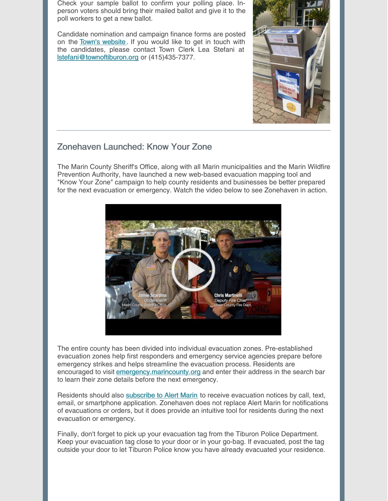Check your sample ballot to confirm your polling place. Inperson voters should bring their mailed ballot and give it to the poll workers to get a new ballot.

Candidate nomination and campaign finance forms are posted on the Town's [website](https://www.townoftiburon.org/377/November-2021). If you would like to get in touch with the candidates, please contact Town Clerk Lea Stefani at [lstefani@townoftiburon.org](mailto:lstefani@townoftiburon.org) or (415)435-7377.



### Zonehaven Launched: Know Your Zone

The Marin County Sheriff's Office, along with all Marin municipalities and the Marin Wildfire Prevention Authority, have launched a new web-based evacuation mapping tool and "Know Your Zone" campaign to help county residents and businesses be better prepared for the next evacuation or emergency. Watch the video below to see Zonehaven in action.



The entire county has been divided into individual evacuation zones. Pre-established evacuation zones help first responders and emergency service agencies prepare before emergency strikes and helps streamline the evacuation process. Residents are encouraged to visit [emergency.marincounty.org](https://emergency.marincounty.org/pages/evacuation) and enter their address in the search bar to learn their zone details before the next emergency.

Residents should also [subscribe](https://www.marinsheriff.org/services/emergency-services/alert-marin) to Alert Marin to receive evacuation notices by call, text, email, or smartphone application. Zonehaven does not replace Alert Marin for notifications of evacuations or orders, but it does provide an intuitive tool for residents during the next evacuation or emergency.

Finally, don't forget to pick up your evacuation tag from the Tiburon Police Department. Keep your evacuation tag close to your door or in your go-bag. If evacuated, post the tag outside your door to let Tiburon Police know you have already evacuated your residence.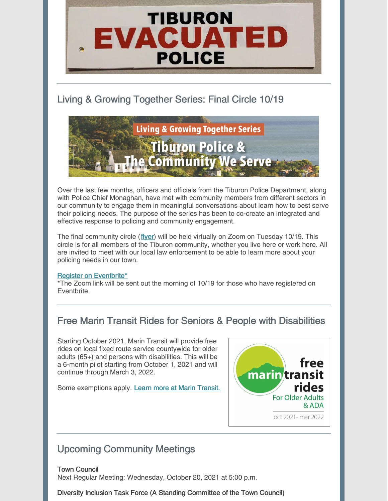

## Living & Growing Together Series: Final Circle 10/19



Over the last few months, officers and officials from the Tiburon Police Department, along with Police Chief Monaghan, have met with community members from different sectors in our community to engage them in meaningful conversations about learn how to best serve their policing needs. The purpose of the series has been to co-create an integrated and effective response to policing and community engagement.

The final community circle ([flyer](https://www.townoftiburon.org/DocumentCenter/View/2943/TIB-Community-Flyer-F-1021)) will be held virtually on Zoom on Tuesday 10/19. This circle is for all members of the Tiburon community, whether you live here or work here. All are invited to meet with our local law enforcement to be able to learn more about your policing needs in our town.

### Register on [Eventbrite\\*](https://www.eventbrite.com/e/virtual-circle-with-law-enforcement-and-tiburon-community-tickets-183825997507)

\*The Zoom link will be sent out the morning of 10/19 for those who have registered on Eventbrite.

## Free Marin Transit Rides for Seniors & People with Disabilities

Starting October 2021, Marin Transit will provide free rides on local fixed route service countywide for older adults (65+) and persons with disabilities. This will be a 6-month pilot starting from October 1, 2021 and will continue through March 3, 2022.

Some exemptions apply. Learn more at Marin [Transit.](https://marintransit.org/farepromotions)



## Upcoming Community Meetings

Town Council Next Regular Meeting: Wednesday, October 20, 2021 at 5:00 p.m.

Diversity Inclusion Task Force (A Standing Committee of the Town Council)